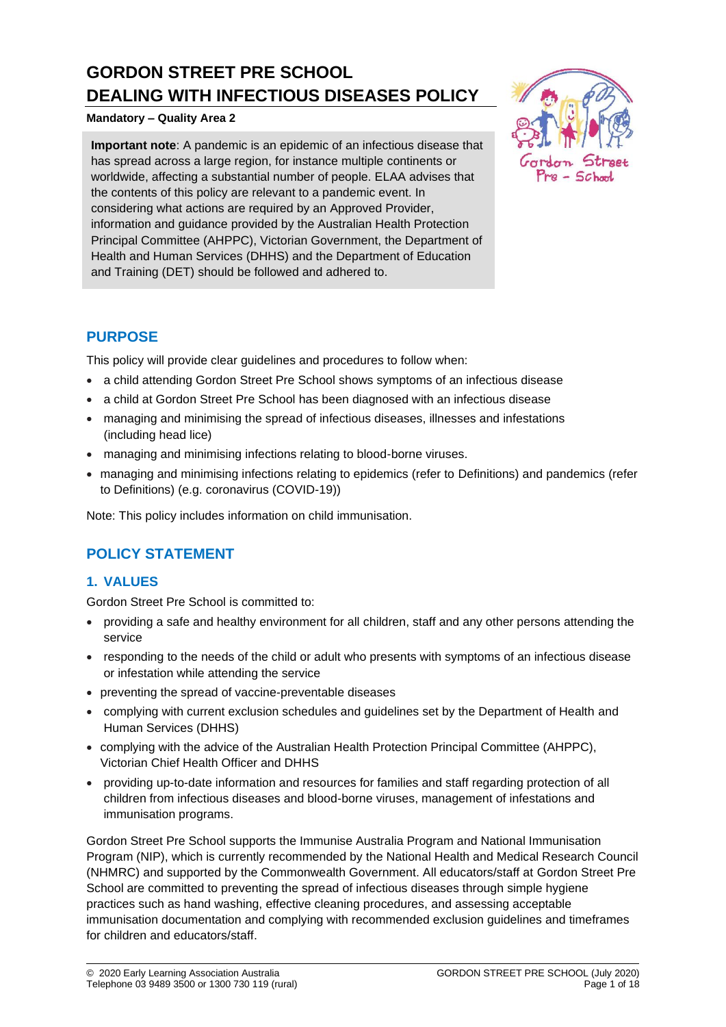# **GORDON STREET PRE SCHOOL DEALING WITH INFECTIOUS DISEASES POLICY**

### **Mandatory – Quality Area 2**

**Important note**: A pandemic is an epidemic of an infectious disease that has spread across a large region, for instance multiple continents or worldwide, affecting a substantial number of people. ELAA advises that the contents of this policy are relevant to a pandemic event. In considering what actions are required by an Approved Provider, information and guidance provided by the Australian Health Protection Principal Committee (AHPPC), Victorian Government, the Department of Health and Human Services (DHHS) and the Department of Education and Training (DET) should be followed and adhered to.



# **PURPOSE**

This policy will provide clear guidelines and procedures to follow when:

- a child attending Gordon Street Pre School shows symptoms of an infectious disease
- a child at Gordon Street Pre School has been diagnosed with an infectious disease
- managing and minimising the spread of infectious diseases, illnesses and infestations (including head lice)
- managing and minimising infections relating to blood-borne viruses.
- managing and minimising infections relating to epidemics (refer to Definitions) and pandemics (refer to Definitions) (e.g. coronavirus (COVID-19))

Note: This policy includes information on child immunisation.

# **POLICY STATEMENT**

# **1. VALUES**

Gordon Street Pre School is committed to:

- providing a safe and healthy environment for all children, staff and any other persons attending the service
- responding to the needs of the child or adult who presents with symptoms of an infectious disease or infestation while attending the service
- preventing the spread of vaccine-preventable diseases
- complying with current exclusion schedules and guidelines set by the Department of Health and Human Services (DHHS)
- complying with the advice of the Australian Health Protection Principal Committee (AHPPC), Victorian Chief Health Officer and DHHS
- providing up-to-date information and resources for families and staff regarding protection of all children from infectious diseases and blood-borne viruses, management of infestations and immunisation programs.

Gordon Street Pre School supports the Immunise Australia Program and National Immunisation Program (NIP), which is currently recommended by the National Health and Medical Research Council (NHMRC) and supported by the Commonwealth Government. All educators/staff at Gordon Street Pre School are committed to preventing the spread of infectious diseases through simple hygiene practices such as hand washing, effective cleaning procedures, and assessing acceptable immunisation documentation and complying with recommended exclusion guidelines and timeframes for children and educators/staff.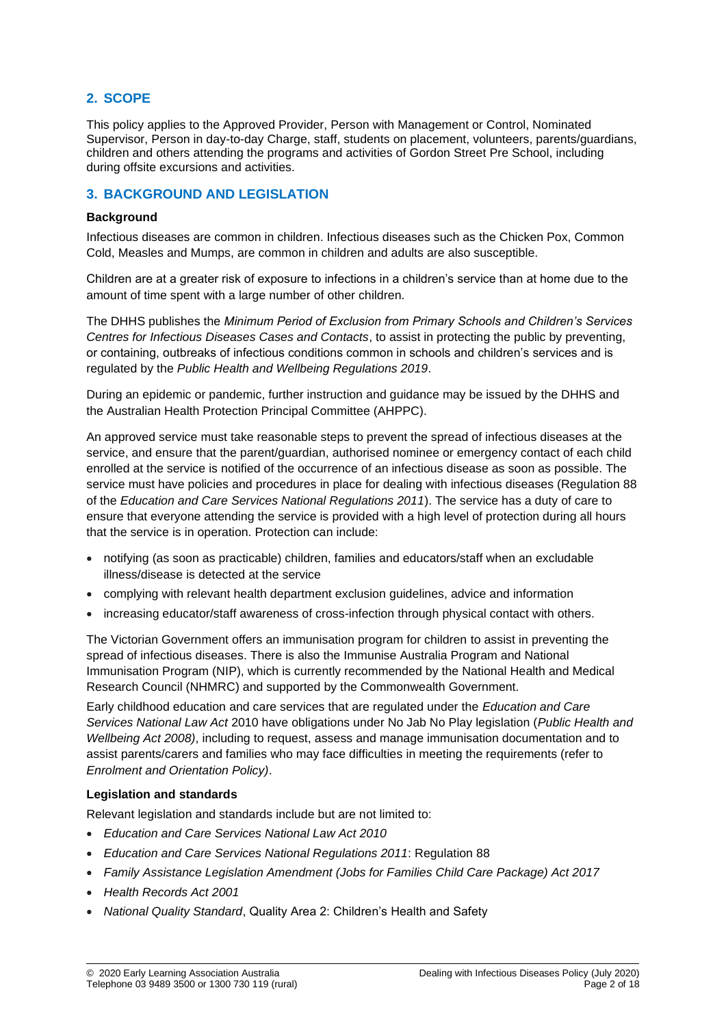# **2. SCOPE**

This policy applies to the Approved Provider, Person with Management or Control, Nominated Supervisor, Person in day-to-day Charge, staff, students on placement, volunteers, parents/guardians, children and others attending the programs and activities of Gordon Street Pre School, including during offsite excursions and activities.

### **3. BACKGROUND AND LEGISLATION**

#### **Background**

Infectious diseases are common in children. Infectious diseases such as the Chicken Pox, Common Cold, Measles and Mumps, are common in children and adults are also susceptible.

Children are at a greater risk of exposure to infections in a children's service than at home due to the amount of time spent with a large number of other children.

The DHHS publishes the *Minimum Period of Exclusion from Primary Schools and Children's Services Centres for Infectious Diseases Cases and Contacts*, to assist in protecting the public by preventing, or containing, outbreaks of infectious conditions common in schools and children's services and is regulated by the *Public Health and Wellbeing Regulations 2019*.

During an epidemic or pandemic, further instruction and guidance may be issued by the DHHS and the Australian Health Protection Principal Committee (AHPPC).

An approved service must take reasonable steps to prevent the spread of infectious diseases at the service, and ensure that the parent/guardian, authorised nominee or emergency contact of each child enrolled at the service is notified of the occurrence of an infectious disease as soon as possible. The service must have policies and procedures in place for dealing with infectious diseases (Regulation 88 of the *Education and Care Services National Regulations 2011*). The service has a duty of care to ensure that everyone attending the service is provided with a high level of protection during all hours that the service is in operation. Protection can include:

- notifying (as soon as practicable) children, families and educators/staff when an excludable illness/disease is detected at the service
- complying with relevant health department exclusion guidelines, advice and information
- increasing educator/staff awareness of cross-infection through physical contact with others.

The Victorian Government offers an immunisation program for children to assist in preventing the spread of infectious diseases. There is also the Immunise Australia Program and National Immunisation Program (NIP), which is currently recommended by the National Health and Medical Research Council (NHMRC) and supported by the Commonwealth Government.

Early childhood education and care services that are regulated under the *Education and Care Services National Law Act* 2010 have obligations under No Jab No Play legislation (*Public Health and Wellbeing Act 2008)*, including to request, assess and manage immunisation documentation and to assist parents/carers and families who may face difficulties in meeting the requirements (refer to *Enrolment and Orientation Policy)*.

### **Legislation and standards**

Relevant legislation and standards include but are not limited to:

- *Education and Care Services National Law Act 2010*
- *Education and Care Services National Regulations 2011*: Regulation 88
- *Family Assistance Legislation Amendment (Jobs for Families Child Care Package) Act 2017*
- *Health Records Act 2001*
- *National Quality Standard*, Quality Area 2: Children's Health and Safety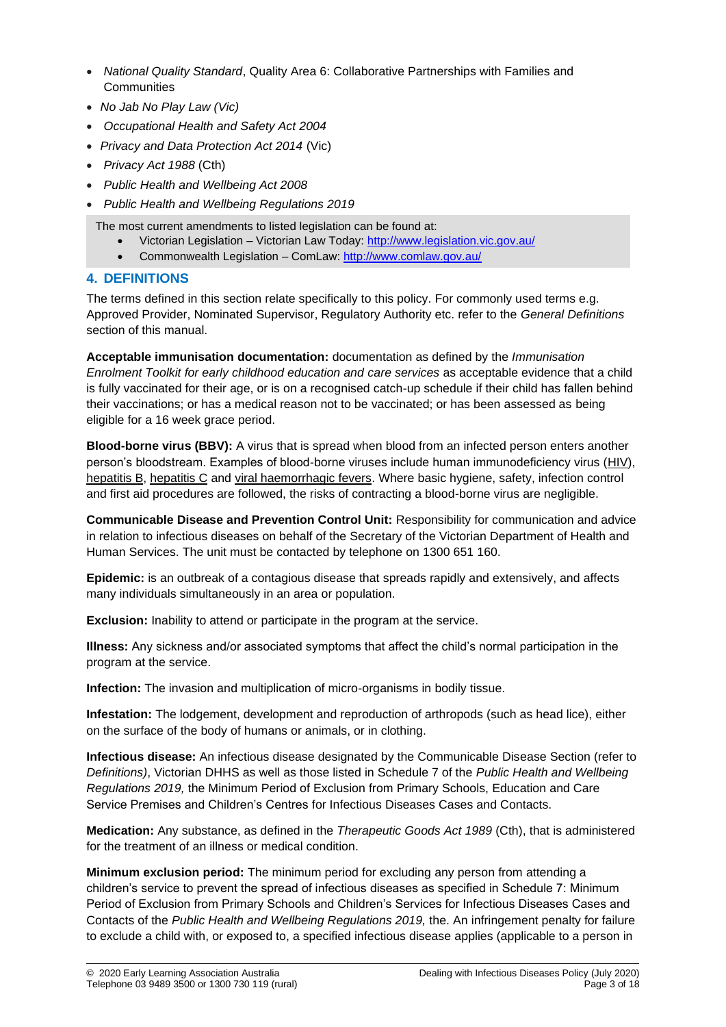- *National Quality Standard*, Quality Area 6: Collaborative Partnerships with Families and **Communities**
- *No Jab No Play Law (Vic)*
- *Occupational Health and Safety Act 2004*
- *Privacy and Data Protection Act 2014* (Vic)
- *Privacy Act 1988* (Cth)
- *Public Health and Wellbeing Act 2008*
- *Public Health and Wellbeing Regulations 2019*

The most current amendments to listed legislation can be found at:

- Victorian Legislation Victorian Law Today:<http://www.legislation.vic.gov.au/>
- Commonwealth Legislation ComLaw[: http://www.comlaw.gov.au/](http://www.comlaw.gov.au/)

### **4. DEFINITIONS**

The terms defined in this section relate specifically to this policy. For commonly used terms e.g. Approved Provider, Nominated Supervisor, Regulatory Authority etc. refer to the *General Definitions* section of this manual.

**Acceptable immunisation documentation:** documentation as defined by the *Immunisation Enrolment Toolkit for early childhood education and care services* as acceptable evidence that a child is fully vaccinated for their age, or is on a recognised catch-up schedule if their child has fallen behind their vaccinations; or has a medical reason not to be vaccinated; or has been assessed as being eligible for a 16 week grace period.

**Blood-borne virus (BBV):** A virus that is spread when blood from an infected person enters another person's bloodstream. Examples of blood-borne viruses include human immunodeficiency virus [\(HIV\)](http://en.wikipedia.org/wiki/HIV), [hepatitis B,](http://en.wikipedia.org/wiki/Hepatitis_B) [hepatitis C](http://en.wikipedia.org/wiki/Hepatitis_C) and [viral haemorrhagic fevers.](http://en.wikipedia.org/wiki/Viral_hemorrhagic_fever) Where basic hygiene, safety, infection control and first aid procedures are followed, the risks of contracting a blood-borne virus are negligible.

**Communicable Disease and Prevention Control Unit:** Responsibility for communication and advice in relation to infectious diseases on behalf of the Secretary of the Victorian Department of Health and Human Services. The unit must be contacted by telephone on 1300 651 160.

**Epidemic:** is an outbreak of a contagious disease that spreads rapidly and extensively, and affects many individuals simultaneously in an area or population.

**Exclusion:** Inability to attend or participate in the program at the service.

**Illness:** Any sickness and/or associated symptoms that affect the child's normal participation in the program at the service.

**Infection:** The invasion and multiplication of micro-organisms in bodily tissue.

**Infestation:** The lodgement, development and reproduction of arthropods (such as head lice), either on the surface of the body of humans or animals, or in clothing.

**Infectious disease:** An infectious disease designated by the Communicable Disease Section (refer to *Definitions)*, Victorian DHHS as well as those listed in Schedule 7 of the *Public Health and Wellbeing Regulations 2019,* the Minimum Period of Exclusion from Primary Schools, Education and Care Service Premises and Children's Centres for Infectious Diseases Cases and Contacts.

**Medication:** Any substance, as defined in the *Therapeutic Goods Act 1989* (Cth), that is administered for the treatment of an illness or medical condition.

**Minimum exclusion period:** The minimum period for excluding any person from attending a children's service to prevent the spread of infectious diseases as specified in Schedule 7: Minimum Period of Exclusion from Primary Schools and Children's Services for Infectious Diseases Cases and Contacts of the *Public Health and Wellbeing Regulations 2019,* the. An infringement penalty for failure to exclude a child with, or exposed to, a specified infectious disease applies (applicable to a person in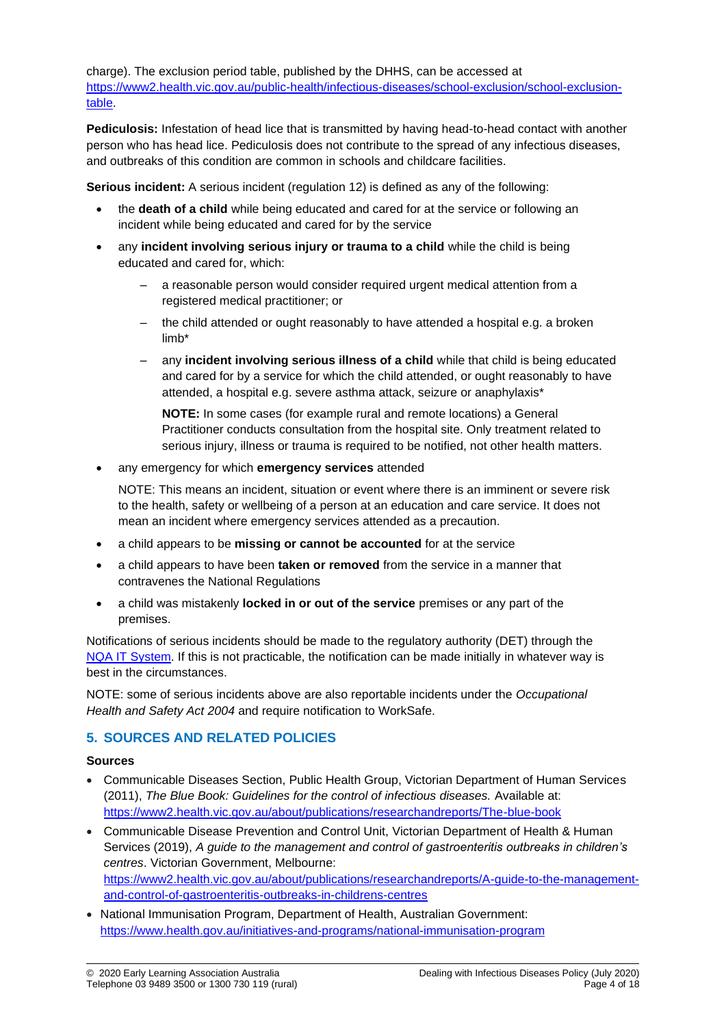charge). The exclusion period table, published by the DHHS, can be accessed at [https://www2.health.vic.gov.au/public-health/infectious-diseases/school-exclusion/school-exclusion](https://www2.health.vic.gov.au/public-health/infectious-diseases/school-exclusion/school-exclusion-table)[table.](https://www2.health.vic.gov.au/public-health/infectious-diseases/school-exclusion/school-exclusion-table)

**Pediculosis:** Infestation of head lice that is transmitted by having head-to-head contact with another person who has head lice. Pediculosis does not contribute to the spread of any infectious diseases, and outbreaks of this condition are common in schools and childcare facilities.

**Serious incident:** A serious incident (regulation 12) is defined as any of the following:

- the **death of a child** while being educated and cared for at the service or following an incident while being educated and cared for by the service
- any **incident involving serious injury or trauma to a child** while the child is being educated and cared for, which:
	- a reasonable person would consider required urgent medical attention from a registered medical practitioner; or
	- the child attended or ought reasonably to have attended a hospital e.g. a broken limb\*
	- any **incident involving serious illness of a child** while that child is being educated and cared for by a service for which the child attended, or ought reasonably to have attended, a hospital e.g. severe asthma attack, seizure or anaphylaxis\*

**NOTE:** In some cases (for example rural and remote locations) a General Practitioner conducts consultation from the hospital site. Only treatment related to serious injury, illness or trauma is required to be notified, not other health matters.

• any emergency for which **emergency services** attended

NOTE: This means an incident, situation or event where there is an imminent or severe risk to the health, safety or wellbeing of a person at an education and care service. It does not mean an incident where emergency services attended as a precaution.

- a child appears to be **missing or cannot be accounted** for at the service
- a child appears to have been **taken or removed** from the service in a manner that contravenes the National Regulations
- a child was mistakenly **locked in or out of the service** premises or any part of the premises.

Notifications of serious incidents should be made to the regulatory authority (DET) through the [NQA IT System.](https://www.acecqa.gov.au/resources/national-quality-agenda-it-system) If this is not practicable, the notification can be made initially in whatever way is best in the circumstances.

NOTE: some of serious incidents above are also reportable incidents under the *Occupational Health and Safety Act 2004* and require notification to WorkSafe.

# **5. SOURCES AND RELATED POLICIES**

#### **Sources**

- Communicable Diseases Section, Public Health Group, Victorian Department of Human Services (2011), *The Blue Book: Guidelines for the control of infectious diseases.* Available at: <https://www2.health.vic.gov.au/about/publications/researchandreports/The-blue-book>
- Communicable Disease Prevention and Control Unit, Victorian Department of Health & Human Services (2019), *A guide to the management and control of gastroenteritis outbreaks in children's centres*. Victorian Government, Melbourne: [https://www2.health.vic.gov.au/about/publications/researchandreports/A-guide-to-the-management](https://www2.health.vic.gov.au/about/publications/researchandreports/A-guide-to-the-management-and-control-of-gastroenteritis-outbreaks-in-childrens-centres)[and-control-of-gastroenteritis-outbreaks-in-childrens-centres](https://www2.health.vic.gov.au/about/publications/researchandreports/A-guide-to-the-management-and-control-of-gastroenteritis-outbreaks-in-childrens-centres)
- National Immunisation Program, Department of Health, Australian Government: <https://www.health.gov.au/initiatives-and-programs/national-immunisation-program>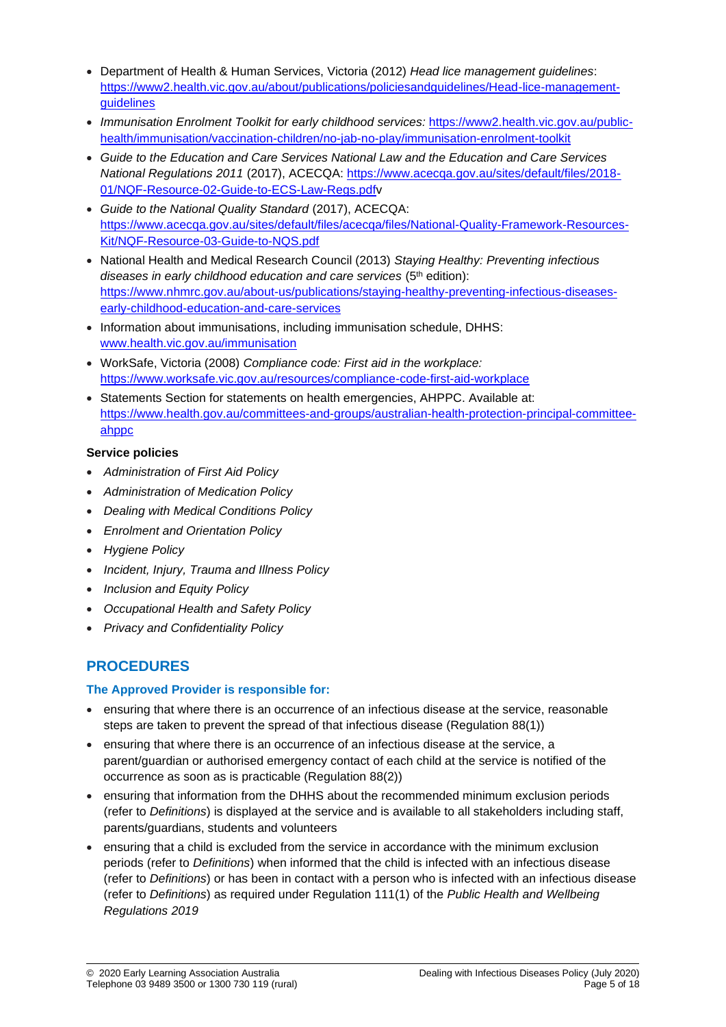- Department of Health & Human Services, Victoria (2012) *Head lice management guidelines*: [https://www2.health.vic.gov.au/about/publications/policiesandguidelines/Head-lice-management](https://www2.health.vic.gov.au/about/publications/policiesandguidelines/Head-lice-management-guidelines)[guidelines](https://www2.health.vic.gov.au/about/publications/policiesandguidelines/Head-lice-management-guidelines)
- *Immunisation Enrolment Toolkit for early childhood services:* [https://www2.health.vic.gov.au/public](https://www2.health.vic.gov.au/public-health/immunisation/vaccination-children/no-jab-no-play/immunisation-enrolment-toolkit)[health/immunisation/vaccination-children/no-jab-no-play/immunisation-enrolment-toolkit](https://www2.health.vic.gov.au/public-health/immunisation/vaccination-children/no-jab-no-play/immunisation-enrolment-toolkit)
- *Guide to the Education and Care Services National Law and the Education and Care Services National Regulations 2011* (2017), ACECQA: [https://www.acecqa.gov.au/sites/default/files/2018-](https://www.acecqa.gov.au/sites/default/files/2018-01/NQF-Resource-02-Guide-to-ECS-Law-Regs.pdf) [01/NQF-Resource-02-Guide-to-ECS-Law-Regs.pdfv](https://www.acecqa.gov.au/sites/default/files/2018-01/NQF-Resource-02-Guide-to-ECS-Law-Regs.pdf)
- *Guide to the National Quality Standard* (2017), ACECQA: [https://www.acecqa.gov.au/sites/default/files/acecqa/files/National-Quality-Framework-Resources-](https://www.acecqa.gov.au/sites/default/files/acecqa/files/National-Quality-Framework-Resources-Kit/NQF-Resource-03-Guide-to-NQS.pdf)[Kit/NQF-Resource-03-Guide-to-NQS.pdf](https://www.acecqa.gov.au/sites/default/files/acecqa/files/National-Quality-Framework-Resources-Kit/NQF-Resource-03-Guide-to-NQS.pdf)
- National Health and Medical Research Council (2013) *Staying Healthy: Preventing infectious*  diseases in early childhood education and care services (5<sup>th</sup> edition): [https://www.nhmrc.gov.au/about-us/publications/staying-healthy-preventing-infectious-diseases](https://www.nhmrc.gov.au/about-us/publications/staying-healthy-preventing-infectious-diseases-early-childhood-education-and-care-services)[early-childhood-education-and-care-services](https://www.nhmrc.gov.au/about-us/publications/staying-healthy-preventing-infectious-diseases-early-childhood-education-and-care-services)
- Information about immunisations, including immunisation schedule, DHHS: [www.health.vic.gov.au/immunisation](http://www.health.vic.gov.au/immunisation)
- WorkSafe, Victoria (2008) *Compliance code: First aid in the workplace:*  <https://www.worksafe.vic.gov.au/resources/compliance-code-first-aid-workplace>
- Statements Section for statements on health emergencies, AHPPC. Available at: [https://www.health.gov.au/committees-and-groups/australian-health-protection-principal-committee](https://www.health.gov.au/committees-and-groups/australian-health-protection-principal-committee-ahppc)[ahppc](https://www.health.gov.au/committees-and-groups/australian-health-protection-principal-committee-ahppc)

### **Service policies**

- *Administration of First Aid Policy*
- *Administration of Medication Policy*
- *Dealing with Medical Conditions Policy*
- *Enrolment and Orientation Policy*
- *Hygiene Policy*
- *Incident, Injury, Trauma and Illness Policy*
- *Inclusion and Equity Policy*
- *Occupational Health and Safety Policy*
- *Privacy and Confidentiality Policy*

# **PROCEDURES**

### **The Approved Provider is responsible for:**

- ensuring that where there is an occurrence of an infectious disease at the service, reasonable steps are taken to prevent the spread of that infectious disease (Regulation 88(1))
- ensuring that where there is an occurrence of an infectious disease at the service, a parent/guardian or authorised emergency contact of each child at the service is notified of the occurrence as soon as is practicable (Regulation 88(2))
- ensuring that information from the DHHS about the recommended minimum exclusion periods (refer to *Definitions*) is displayed at the service and is available to all stakeholders including staff, parents/guardians, students and volunteers
- ensuring that a child is excluded from the service in accordance with the minimum exclusion periods (refer to *Definitions*) when informed that the child is infected with an infectious disease (refer to *Definitions*) or has been in contact with a person who is infected with an infectious disease (refer to *Definitions*) as required under Regulation 111(1) of the *Public Health and Wellbeing Regulations 2019*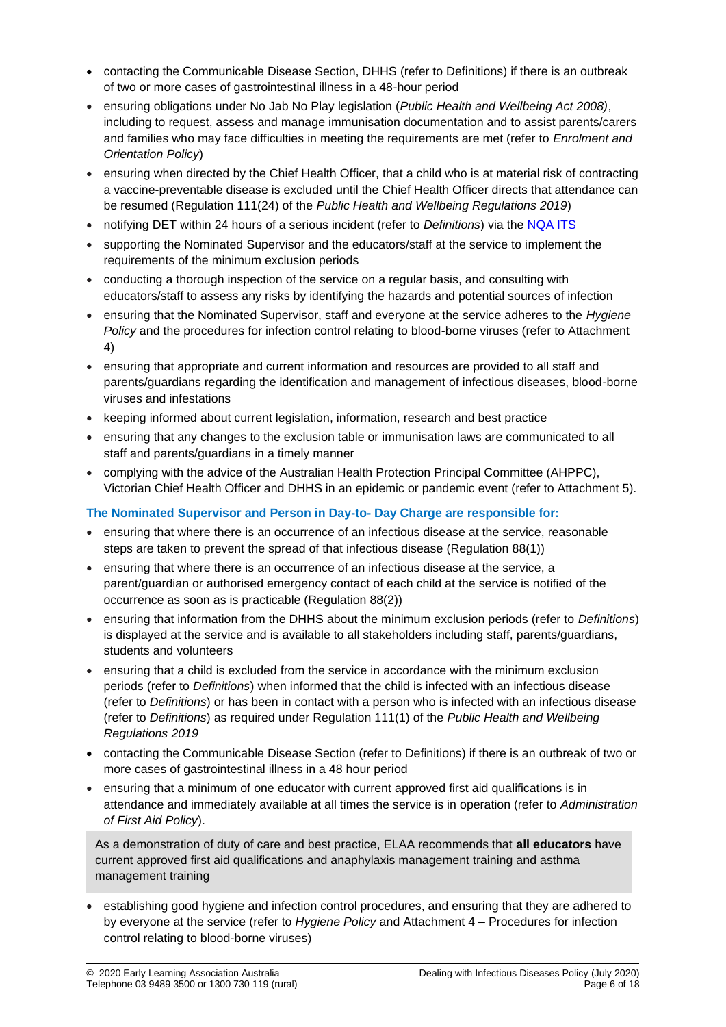- contacting the Communicable Disease Section, DHHS (refer to Definitions) if there is an outbreak of two or more cases of gastrointestinal illness in a 48-hour period
- ensuring obligations under No Jab No Play legislation (*Public Health and Wellbeing Act 2008)*, including to request, assess and manage immunisation documentation and to assist parents/carers and families who may face difficulties in meeting the requirements are met (refer to *Enrolment and Orientation Policy*)
- ensuring when directed by the Chief Health Officer, that a child who is at material risk of contracting a vaccine-preventable disease is excluded until the Chief Health Officer directs that attendance can be resumed (Regulation 111(24) of the *Public Health and Wellbeing Regulations 2019*)
- notifying DET within 24 hours of a serious incident (refer to *Definitions*) via the [NQA ITS](https://www.acecqa.gov.au/resources/national-quality-agenda-it-system)
- supporting the Nominated Supervisor and the educators/staff at the service to implement the requirements of the minimum exclusion periods
- conducting a thorough inspection of the service on a regular basis, and consulting with educators/staff to assess any risks by identifying the hazards and potential sources of infection
- ensuring that the Nominated Supervisor, staff and everyone at the service adheres to the *Hygiene Policy* and the procedures for infection control relating to blood-borne viruses (refer to Attachment 4)
- ensuring that appropriate and current information and resources are provided to all staff and parents/guardians regarding the identification and management of infectious diseases, blood-borne viruses and infestations
- keeping informed about current legislation, information, research and best practice
- ensuring that any changes to the exclusion table or immunisation laws are communicated to all staff and parents/guardians in a timely manner
- complying with the advice of the Australian Health Protection Principal Committee (AHPPC), Victorian Chief Health Officer and DHHS in an epidemic or pandemic event (refer to Attachment 5).

### **The Nominated Supervisor and Person in Day-to- Day Charge are responsible for:**

- ensuring that where there is an occurrence of an infectious disease at the service, reasonable steps are taken to prevent the spread of that infectious disease (Regulation 88(1))
- ensuring that where there is an occurrence of an infectious disease at the service, a parent/guardian or authorised emergency contact of each child at the service is notified of the occurrence as soon as is practicable (Regulation 88(2))
- ensuring that information from the DHHS about the minimum exclusion periods (refer to *Definitions*) is displayed at the service and is available to all stakeholders including staff, parents/guardians, students and volunteers
- ensuring that a child is excluded from the service in accordance with the minimum exclusion periods (refer to *Definitions*) when informed that the child is infected with an infectious disease (refer to *Definitions*) or has been in contact with a person who is infected with an infectious disease (refer to *Definitions*) as required under Regulation 111(1) of the *Public Health and Wellbeing Regulations 2019*
- contacting the Communicable Disease Section (refer to Definitions) if there is an outbreak of two or more cases of gastrointestinal illness in a 48 hour period
- ensuring that a minimum of one educator with current approved first aid qualifications is in attendance and immediately available at all times the service is in operation (refer to *Administration of First Aid Policy*).

As a demonstration of duty of care and best practice, ELAA recommends that **all educators** have current approved first aid qualifications and anaphylaxis management training and asthma management training

• establishing good hygiene and infection control procedures, and ensuring that they are adhered to by everyone at the service (refer to *Hygiene Policy* and Attachment 4 – Procedures for infection control relating to blood-borne viruses)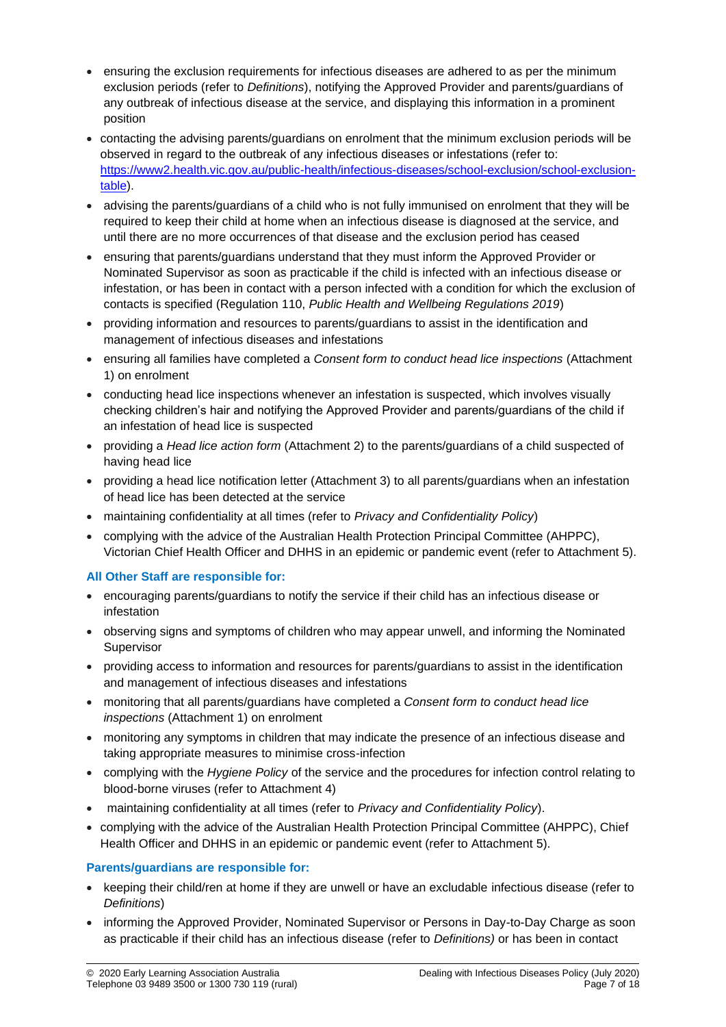- ensuring the exclusion requirements for infectious diseases are adhered to as per the minimum exclusion periods (refer to *Definitions*), notifying the Approved Provider and parents/guardians of any outbreak of infectious disease at the service, and displaying this information in a prominent position
- contacting the advising parents/guardians on enrolment that the minimum exclusion periods will be observed in regard to the outbreak of any infectious diseases or infestations (refer to: [https://www2.health.vic.gov.au/public-health/infectious-diseases/school-exclusion/school-exclusion](https://www2.health.vic.gov.au/public-health/infectious-diseases/school-exclusion/school-exclusion-table)[table\)](https://www2.health.vic.gov.au/public-health/infectious-diseases/school-exclusion/school-exclusion-table).
- advising the parents/guardians of a child who is not fully immunised on enrolment that they will be required to keep their child at home when an infectious disease is diagnosed at the service, and until there are no more occurrences of that disease and the exclusion period has ceased
- ensuring that parents/guardians understand that they must inform the Approved Provider or Nominated Supervisor as soon as practicable if the child is infected with an infectious disease or infestation, or has been in contact with a person infected with a condition for which the exclusion of contacts is specified (Regulation 110, *Public Health and Wellbeing Regulations 2019*)
- providing information and resources to parents/guardians to assist in the identification and management of infectious diseases and infestations
- ensuring all families have completed a *Consent form to conduct head lice inspections* (Attachment 1) on enrolment
- conducting head lice inspections whenever an infestation is suspected, which involves visually checking children's hair and notifying the Approved Provider and parents/guardians of the child if an infestation of head lice is suspected
- providing a *Head lice action form* (Attachment 2) to the parents/guardians of a child suspected of having head lice
- providing a head lice notification letter (Attachment 3) to all parents/guardians when an infestation of head lice has been detected at the service
- maintaining confidentiality at all times (refer to *Privacy and Confidentiality Policy*)
- complying with the advice of the Australian Health Protection Principal Committee (AHPPC), Victorian Chief Health Officer and DHHS in an epidemic or pandemic event (refer to Attachment 5).

### **All Other Staff are responsible for:**

- encouraging parents/guardians to notify the service if their child has an infectious disease or infestation
- observing signs and symptoms of children who may appear unwell, and informing the Nominated Supervisor
- providing access to information and resources for parents/guardians to assist in the identification and management of infectious diseases and infestations
- monitoring that all parents/guardians have completed a *Consent form to conduct head lice inspections* (Attachment 1) on enrolment
- monitoring any symptoms in children that may indicate the presence of an infectious disease and taking appropriate measures to minimise cross-infection
- complying with the *Hygiene Policy* of the service and the procedures for infection control relating to blood-borne viruses (refer to Attachment 4)
- maintaining confidentiality at all times (refer to *Privacy and Confidentiality Policy*).
- complying with the advice of the Australian Health Protection Principal Committee (AHPPC), Chief Health Officer and DHHS in an epidemic or pandemic event (refer to Attachment 5).

### **Parents/guardians are responsible for:**

- keeping their child/ren at home if they are unwell or have an excludable infectious disease (refer to *Definitions*)
- informing the Approved Provider, Nominated Supervisor or Persons in Day-to-Day Charge as soon as practicable if their child has an infectious disease (refer to *Definitions)* or has been in contact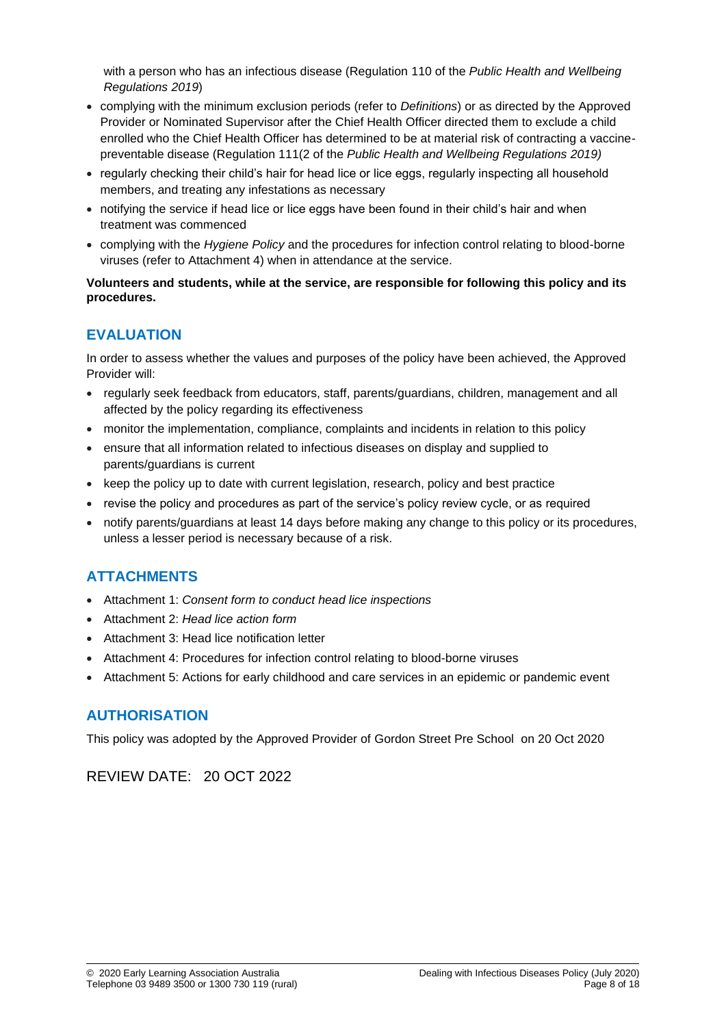with a person who has an infectious disease (Regulation 110 of the *Public Health and Wellbeing Regulations 2019*)

- complying with the minimum exclusion periods (refer to *Definitions*) or as directed by the Approved Provider or Nominated Supervisor after the Chief Health Officer directed them to exclude a child enrolled who the Chief Health Officer has determined to be at material risk of contracting a vaccinepreventable disease (Regulation 111(2 of the *Public Health and Wellbeing Regulations 2019)*
- regularly checking their child's hair for head lice or lice eggs, regularly inspecting all household members, and treating any infestations as necessary
- notifying the service if head lice or lice eggs have been found in their child's hair and when treatment was commenced
- complying with the *Hygiene Policy* and the procedures for infection control relating to blood-borne viruses (refer to Attachment 4) when in attendance at the service.

#### **Volunteers and students, while at the service, are responsible for following this policy and its procedures.**

# **EVALUATION**

In order to assess whether the values and purposes of the policy have been achieved, the Approved Provider will:

- regularly seek feedback from educators, staff, parents/guardians, children, management and all affected by the policy regarding its effectiveness
- monitor the implementation, compliance, complaints and incidents in relation to this policy
- ensure that all information related to infectious diseases on display and supplied to parents/guardians is current
- keep the policy up to date with current legislation, research, policy and best practice
- revise the policy and procedures as part of the service's policy review cycle, or as required
- notify parents/guardians at least 14 days before making any change to this policy or its procedures, unless a lesser period is necessary because of a risk.

# **ATTACHMENTS**

- Attachment 1: *Consent form to conduct head lice inspections*
- Attachment 2: *Head lice action form*
- Attachment 3: Head lice notification letter
- Attachment 4: Procedures for infection control relating to blood-borne viruses
- Attachment 5: Actions for early childhood and care services in an epidemic or pandemic event

# **AUTHORISATION**

This policy was adopted by the Approved Provider of Gordon Street Pre School on 20 Oct 2020

REVIEW DATE: 20 OCT 2022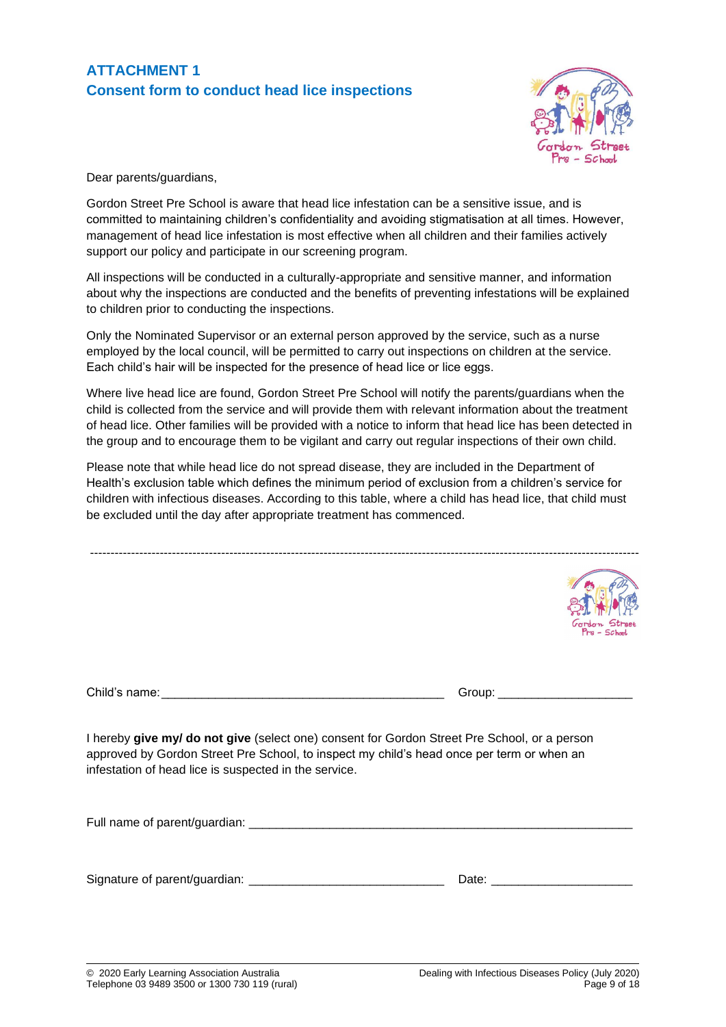# **ATTACHMENT 1 Consent form to conduct head lice inspections**



Dear parents/guardians,

Gordon Street Pre School is aware that head lice infestation can be a sensitive issue, and is committed to maintaining children's confidentiality and avoiding stigmatisation at all times. However, management of head lice infestation is most effective when all children and their families actively support our policy and participate in our screening program.

All inspections will be conducted in a culturally-appropriate and sensitive manner, and information about why the inspections are conducted and the benefits of preventing infestations will be explained to children prior to conducting the inspections.

Only the Nominated Supervisor or an external person approved by the service, such as a nurse employed by the local council, will be permitted to carry out inspections on children at the service. Each child's hair will be inspected for the presence of head lice or lice eggs.

Where live head lice are found, Gordon Street Pre School will notify the parents/guardians when the child is collected from the service and will provide them with relevant information about the treatment of head lice. Other families will be provided with a notice to inform that head lice has been detected in the group and to encourage them to be vigilant and carry out regular inspections of their own child.

Please note that while head lice do not spread disease, they are included in the Department of Health's exclusion table which defines the minimum period of exclusion from a children's service for children with infectious diseases. According to this table, where a child has head lice, that child must be excluded until the day after appropriate treatment has commenced.

--------------------------------------------------------------------------------------------------------------------------------------  $-50$ Child's name:\_\_\_\_\_\_\_\_\_\_\_\_\_\_\_\_\_\_\_\_\_\_\_\_\_\_\_\_\_\_\_\_\_\_\_\_\_\_\_\_\_\_ Group: \_\_\_\_\_\_\_\_\_\_\_\_\_\_\_\_\_\_\_\_

I hereby **give my/ do not give** (select one) consent for Gordon Street Pre School, or a person approved by Gordon Street Pre School, to inspect my child's head once per term or when an infestation of head lice is suspected in the service.

Full name of parent/guardian:

Signature of parent/guardian: \_\_\_\_\_\_\_\_\_\_\_\_\_\_\_\_\_\_\_\_\_\_\_\_\_\_\_\_\_ Date: \_\_\_\_\_\_\_\_\_\_\_\_\_\_\_\_\_\_\_\_\_

| ate: |
|------|
|      |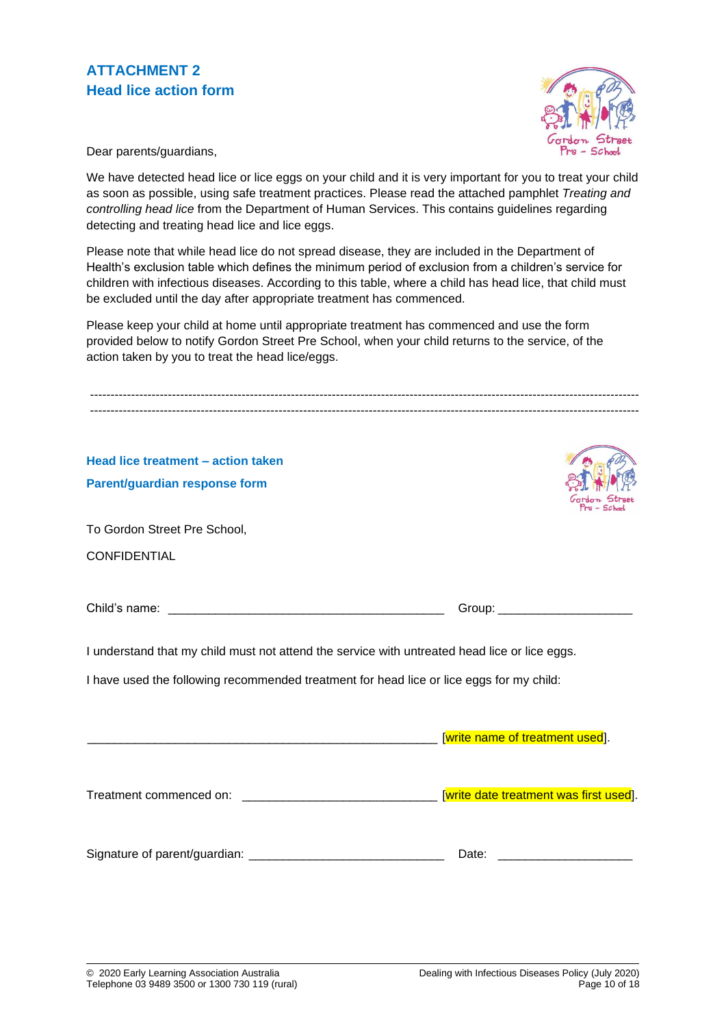

Dear parents/guardians,

We have detected head lice or lice eggs on your child and it is very important for you to treat your child as soon as possible, using safe treatment practices. Please read the attached pamphlet *Treating and controlling head lice* from the Department of Human Services. This contains guidelines regarding detecting and treating head lice and lice eggs.

Please note that while head lice do not spread disease, they are included in the Department of Health's exclusion table which defines the minimum period of exclusion from a children's service for children with infectious diseases. According to this table, where a child has head lice, that child must be excluded until the day after appropriate treatment has commenced.

Please keep your child at home until appropriate treatment has commenced and use the form provided below to notify Gordon Street Pre School, when your child returns to the service, of the action taken by you to treat the head lice/eggs.

| Head lice treatment - action taken                                                            |                                 |  |
|-----------------------------------------------------------------------------------------------|---------------------------------|--|
| Parent/guardian response form                                                                 |                                 |  |
| To Gordon Street Pre School,                                                                  |                                 |  |
| <b>CONFIDENTIAL</b>                                                                           |                                 |  |
|                                                                                               |                                 |  |
|                                                                                               |                                 |  |
| I understand that my child must not attend the service with untreated head lice or lice eggs. |                                 |  |
| I have used the following recommended treatment for head lice or lice eggs for my child:      |                                 |  |
|                                                                                               |                                 |  |
|                                                                                               | [write name of treatment used]. |  |
|                                                                                               |                                 |  |
|                                                                                               |                                 |  |
|                                                                                               |                                 |  |
|                                                                                               | Date:                           |  |
|                                                                                               |                                 |  |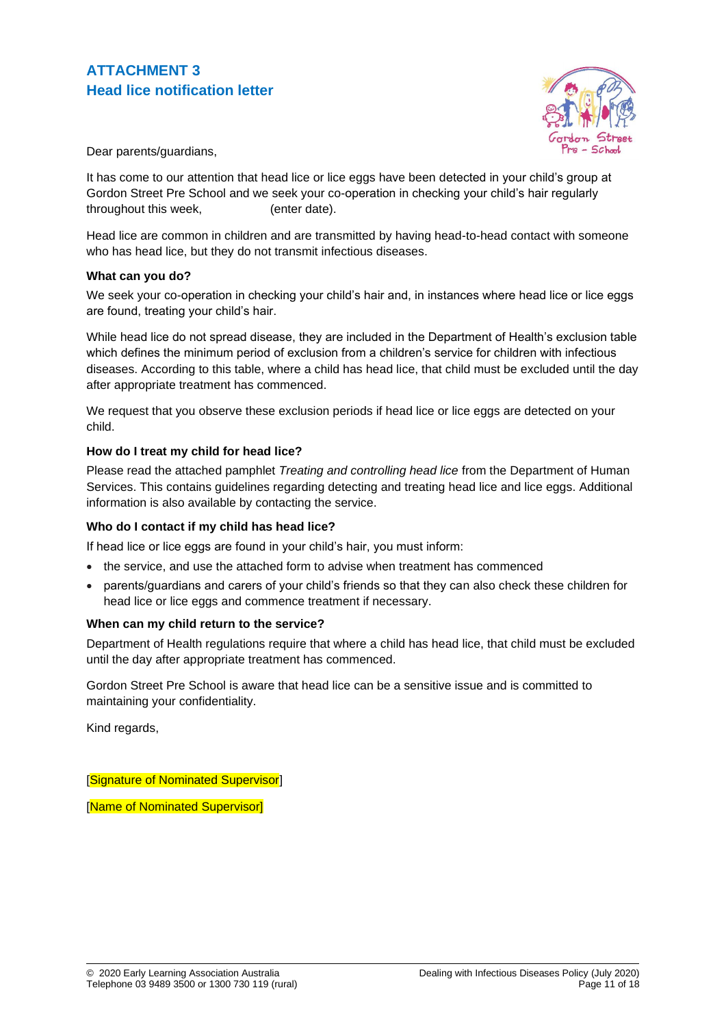

Dear parents/guardians,

It has come to our attention that head lice or lice eggs have been detected in your child's group at Gordon Street Pre School and we seek your co-operation in checking your child's hair regularly throughout this week. (enter date).

Head lice are common in children and are transmitted by having head-to-head contact with someone who has head lice, but they do not transmit infectious diseases.

#### **What can you do?**

We seek your co-operation in checking your child's hair and, in instances where head lice or lice eggs are found, treating your child's hair.

While head lice do not spread disease, they are included in the Department of Health's exclusion table which defines the minimum period of exclusion from a children's service for children with infectious diseases. According to this table, where a child has head lice, that child must be excluded until the day after appropriate treatment has commenced.

We request that you observe these exclusion periods if head lice or lice eggs are detected on your child.

#### **How do I treat my child for head lice?**

Please read the attached pamphlet *Treating and controlling head lice* from the Department of Human Services. This contains guidelines regarding detecting and treating head lice and lice eggs. Additional information is also available by contacting the service.

#### **Who do I contact if my child has head lice?**

If head lice or lice eggs are found in your child's hair, you must inform:

- the service, and use the attached form to advise when treatment has commenced
- parents/guardians and carers of your child's friends so that they can also check these children for head lice or lice eggs and commence treatment if necessary.

#### **When can my child return to the service?**

Department of Health regulations require that where a child has head lice, that child must be excluded until the day after appropriate treatment has commenced.

Gordon Street Pre School is aware that head lice can be a sensitive issue and is committed to maintaining your confidentiality.

Kind regards,

[Signature of Nominated Supervisor]

[Name of Nominated Supervisor]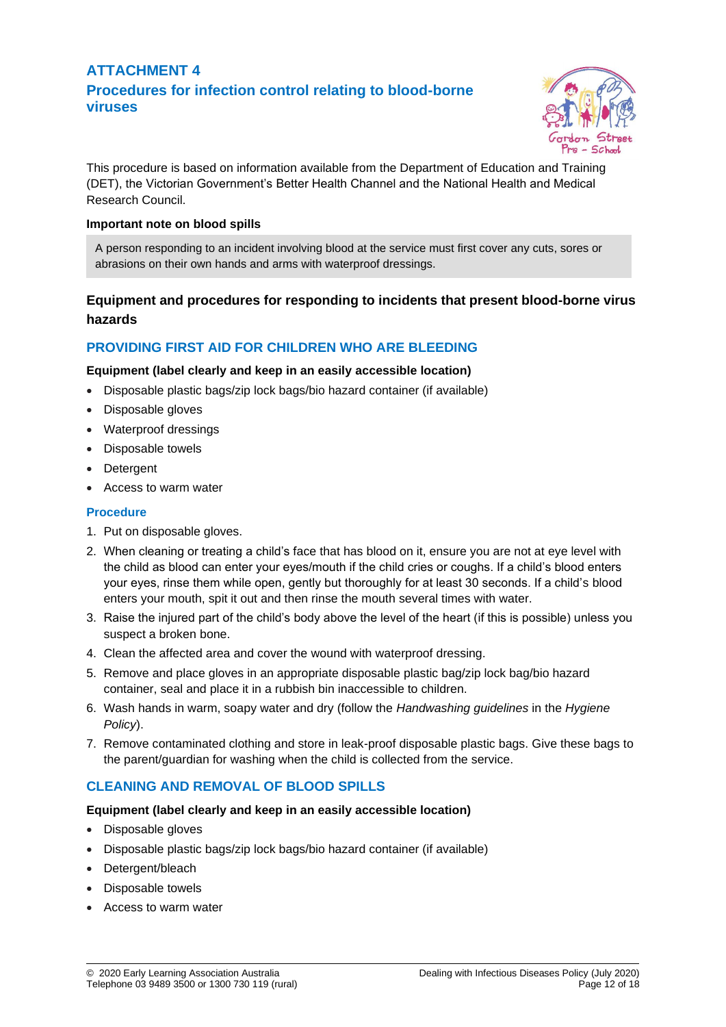# **ATTACHMENT 4 Procedures for infection control relating to blood-borne viruses**



This procedure is based on information available from the Department of Education and Training (DET), the Victorian Government's Better Health Channel and the National Health and Medical Research Council.

### **Important note on blood spills**

A person responding to an incident involving blood at the service must first cover any cuts, sores or abrasions on their own hands and arms with waterproof dressings.

# **Equipment and procedures for responding to incidents that present blood-borne virus hazards**

# **PROVIDING FIRST AID FOR CHILDREN WHO ARE BLEEDING**

### **Equipment (label clearly and keep in an easily accessible location)**

- Disposable plastic bags/zip lock bags/bio hazard container (if available)
- Disposable gloves
- Waterproof dressings
- Disposable towels
- Detergent
- Access to warm water

### **Procedure**

- 1. Put on disposable gloves.
- 2. When cleaning or treating a child's face that has blood on it, ensure you are not at eye level with the child as blood can enter your eyes/mouth if the child cries or coughs. If a child's blood enters your eyes, rinse them while open, gently but thoroughly for at least 30 seconds. If a child's blood enters your mouth, spit it out and then rinse the mouth several times with water.
- 3. Raise the injured part of the child's body above the level of the heart (if this is possible) unless you suspect a broken bone.
- 4. Clean the affected area and cover the wound with waterproof dressing.
- 5. Remove and place gloves in an appropriate disposable plastic bag/zip lock bag/bio hazard container, seal and place it in a rubbish bin inaccessible to children.
- 6. Wash hands in warm, soapy water and dry (follow the *Handwashing guidelines* in the *Hygiene Policy*).
- 7. Remove contaminated clothing and store in leak-proof disposable plastic bags. Give these bags to the parent/guardian for washing when the child is collected from the service.

### **CLEANING AND REMOVAL OF BLOOD SPILLS**

#### **Equipment (label clearly and keep in an easily accessible location)**

- Disposable gloves
- Disposable plastic bags/zip lock bags/bio hazard container (if available)
- Detergent/bleach
- Disposable towels
- Access to warm water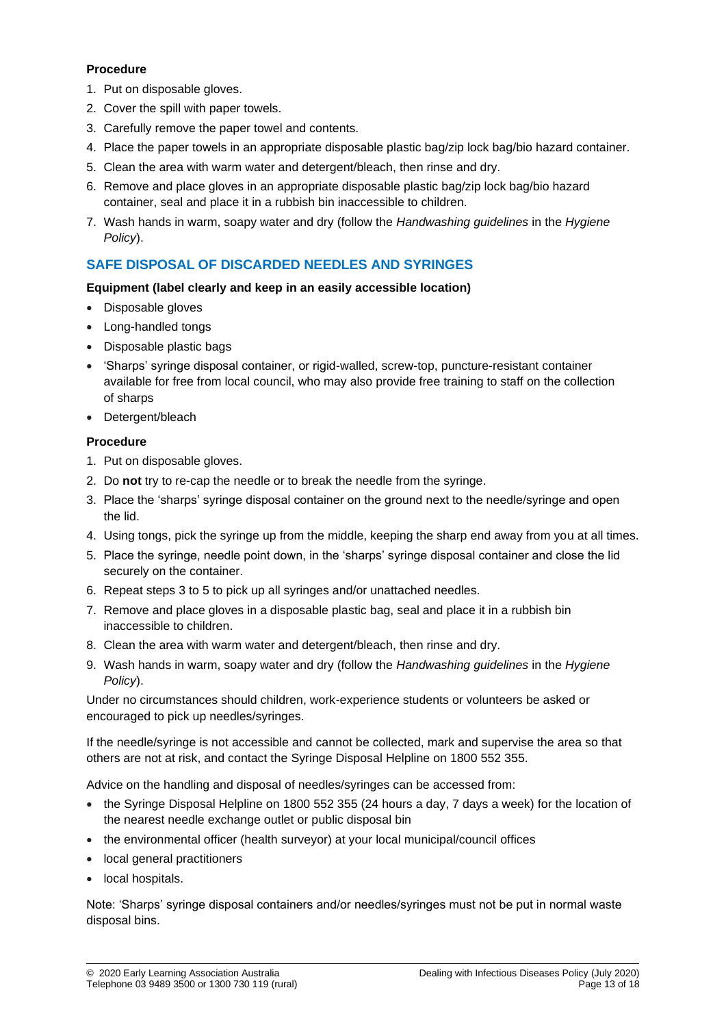#### **Procedure**

- 1. Put on disposable gloves.
- 2. Cover the spill with paper towels.
- 3. Carefully remove the paper towel and contents.
- 4. Place the paper towels in an appropriate disposable plastic bag/zip lock bag/bio hazard container.
- 5. Clean the area with warm water and detergent/bleach, then rinse and dry.
- 6. Remove and place gloves in an appropriate disposable plastic bag/zip lock bag/bio hazard container, seal and place it in a rubbish bin inaccessible to children.
- 7. Wash hands in warm, soapy water and dry (follow the *Handwashing guidelines* in the *Hygiene Policy*).

# **SAFE DISPOSAL OF DISCARDED NEEDLES AND SYRINGES**

### **Equipment (label clearly and keep in an easily accessible location)**

- Disposable gloves
- Long-handled tongs
- Disposable plastic bags
- 'Sharps' syringe disposal container, or rigid-walled, screw-top, puncture-resistant container available for free from local council, who may also provide free training to staff on the collection of sharps
- Detergent/bleach

### **Procedure**

- 1. Put on disposable gloves.
- 2. Do **not** try to re-cap the needle or to break the needle from the syringe.
- 3. Place the 'sharps' syringe disposal container on the ground next to the needle/syringe and open the lid.
- 4. Using tongs, pick the syringe up from the middle, keeping the sharp end away from you at all times.
- 5. Place the syringe, needle point down, in the 'sharps' syringe disposal container and close the lid securely on the container.
- 6. Repeat steps 3 to 5 to pick up all syringes and/or unattached needles.
- 7. Remove and place gloves in a disposable plastic bag, seal and place it in a rubbish bin inaccessible to children.
- 8. Clean the area with warm water and detergent/bleach, then rinse and dry.
- 9. Wash hands in warm, soapy water and dry (follow the *Handwashing guidelines* in the *Hygiene Policy*).

Under no circumstances should children, work-experience students or volunteers be asked or encouraged to pick up needles/syringes.

If the needle/syringe is not accessible and cannot be collected, mark and supervise the area so that others are not at risk, and contact the Syringe Disposal Helpline on 1800 552 355.

Advice on the handling and disposal of needles/syringes can be accessed from:

- the Syringe Disposal Helpline on 1800 552 355 (24 hours a day, 7 days a week) for the location of the nearest needle exchange outlet or public disposal bin
- the environmental officer (health surveyor) at your local municipal/council offices
- local general practitioners
- local hospitals.

Note: 'Sharps' syringe disposal containers and/or needles/syringes must not be put in normal waste disposal bins.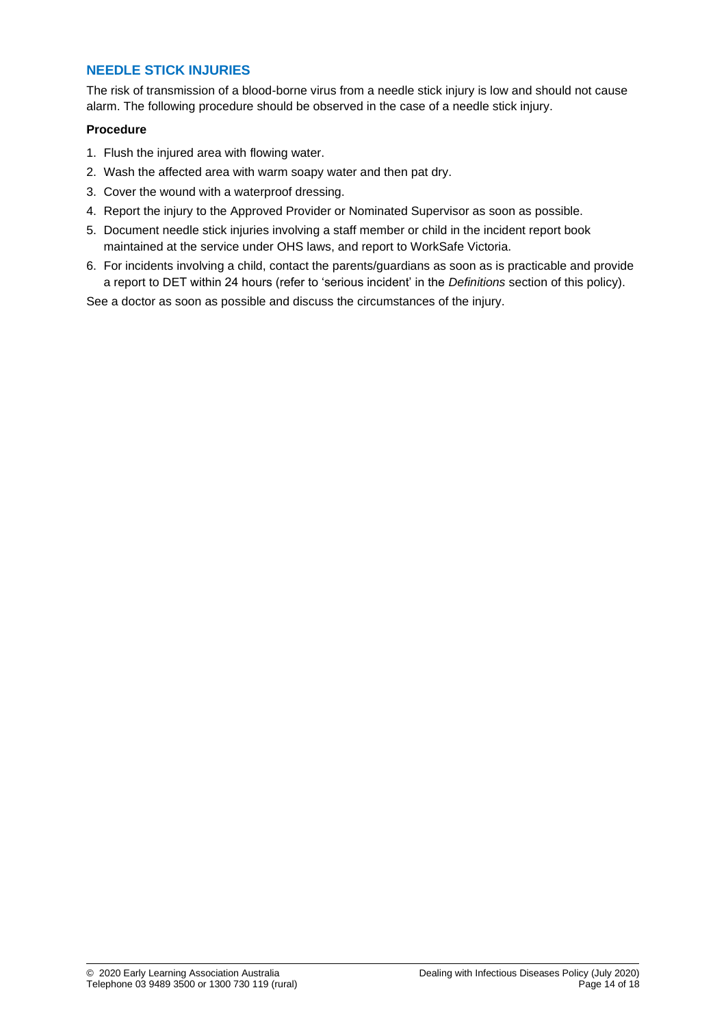### **NEEDLE STICK INJURIES**

The risk of transmission of a blood-borne virus from a needle stick injury is low and should not cause alarm. The following procedure should be observed in the case of a needle stick injury.

### **Procedure**

- 1. Flush the injured area with flowing water.
- 2. Wash the affected area with warm soapy water and then pat dry.
- 3. Cover the wound with a waterproof dressing.
- 4. Report the injury to the Approved Provider or Nominated Supervisor as soon as possible.
- 5. Document needle stick injuries involving a staff member or child in the incident report book maintained at the service under OHS laws, and report to WorkSafe Victoria.
- 6. For incidents involving a child, contact the parents/guardians as soon as is practicable and provide a report to DET within 24 hours (refer to 'serious incident' in the *Definitions* section of this policy).

See a doctor as soon as possible and discuss the circumstances of the injury.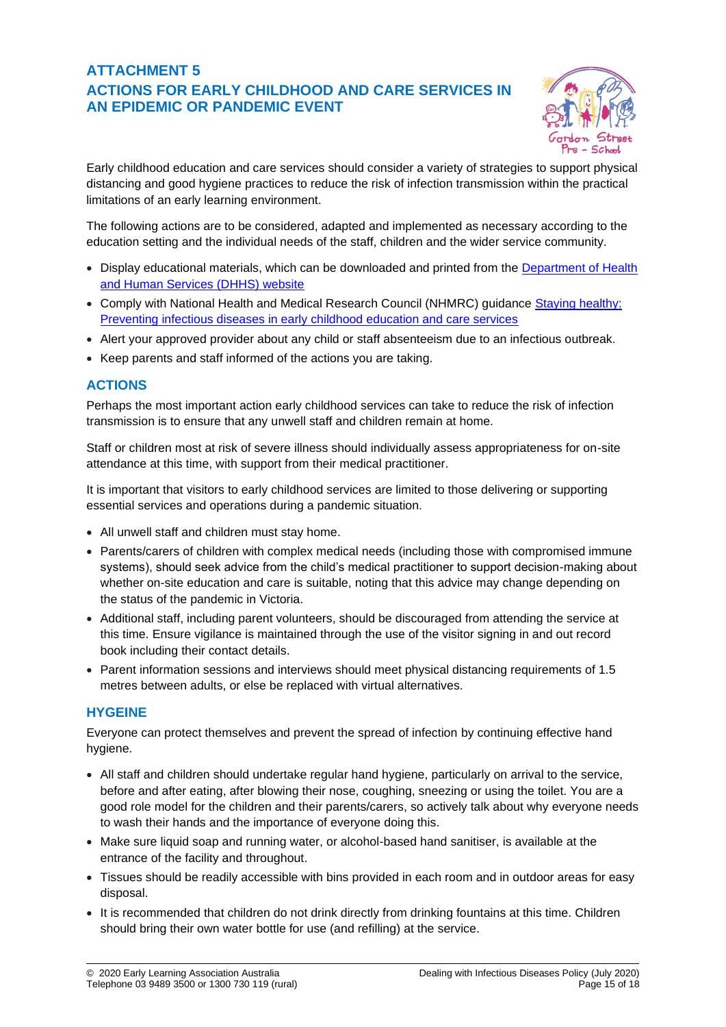# **ATTACHMENT 5 ACTIONS FOR EARLY CHILDHOOD AND CARE SERVICES IN AN EPIDEMIC OR PANDEMIC EVENT**



Early childhood education and care services should consider a variety of strategies to support physical distancing and good hygiene practices to reduce the risk of infection transmission within the practical limitations of an early learning environment.

The following actions are to be considered, adapted and implemented as necessary according to the education setting and the individual needs of the staff, children and the wider service community.

- Display educational materials, which can be downloaded and printed from the [Department of Health](http://www.dhhs.vic.gov.au/coronavirus)  [and Human Services \(DHHS\) website](http://www.dhhs.vic.gov.au/coronavirus)
- Comply with National Health and Medical Research Council (NHMRC) guidance Staying healthy: [Preventing infectious diseases in early childhood education and care services](https://www.nhmrc.gov.au/about-us/publications/staying-healthy-preventing-infectious-diseases-early-childhood-education-and-care-services)
- Alert your approved provider about any child or staff absenteeism due to an infectious outbreak.
- Keep parents and staff informed of the actions you are taking.

# **ACTIONS**

Perhaps the most important action early childhood services can take to reduce the risk of infection transmission is to ensure that any unwell staff and children remain at home.

Staff or children most at risk of severe illness should individually assess appropriateness for on-site attendance at this time, with support from their medical practitioner.

It is important that visitors to early childhood services are limited to those delivering or supporting essential services and operations during a pandemic situation.

- All unwell staff and children must stay home.
- Parents/carers of children with complex medical needs (including those with compromised immune systems), should seek advice from the child's medical practitioner to support decision-making about whether on-site education and care is suitable, noting that this advice may change depending on the status of the pandemic in Victoria.
- Additional staff, including parent volunteers, should be discouraged from attending the service at this time. Ensure vigilance is maintained through the use of the visitor signing in and out record book including their contact details.
- Parent information sessions and interviews should meet physical distancing requirements of 1.5 metres between adults, or else be replaced with virtual alternatives.

# **HYGEINE**

Everyone can protect themselves and prevent the spread of infection by continuing effective hand hygiene.

- All staff and children should undertake regular hand hygiene, particularly on arrival to the service, before and after eating, after blowing their nose, coughing, sneezing or using the toilet. You are a good role model for the children and their parents/carers, so actively talk about why everyone needs to wash their hands and the importance of everyone doing this.
- Make sure liquid soap and running water, or alcohol-based hand sanitiser, is available at the entrance of the facility and throughout.
- Tissues should be readily accessible with bins provided in each room and in outdoor areas for easy disposal.
- It is recommended that children do not drink directly from drinking fountains at this time. Children should bring their own water bottle for use (and refilling) at the service.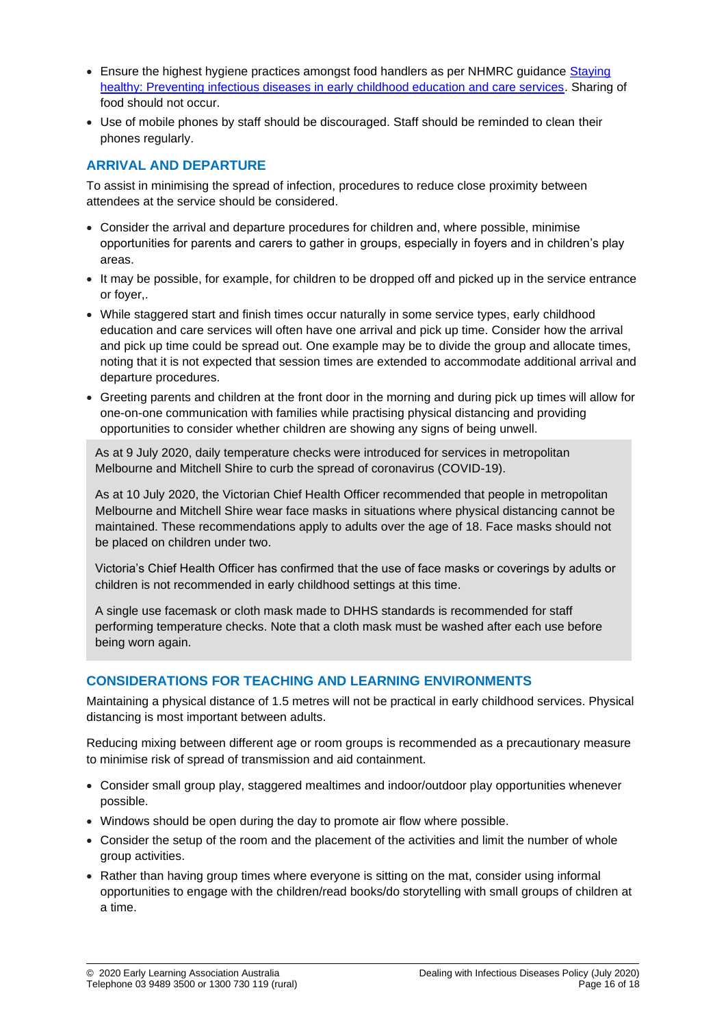- Ensure the highest hygiene practices amongst food handlers as per NHMRC guidance Staying [healthy: Preventing infectious diseases in early childhood education and care services.](https://www.nhmrc.gov.au/about-us/publications/staying-healthy-preventing-infectious-diseases-early-childhood-education-and-care-services) Sharing of food should not occur.
- Use of mobile phones by staff should be discouraged. Staff should be reminded to clean their phones regularly.

# **ARRIVAL AND DEPARTURE**

To assist in minimising the spread of infection, procedures to reduce close proximity between attendees at the service should be considered.

- Consider the arrival and departure procedures for children and, where possible, minimise opportunities for parents and carers to gather in groups, especially in foyers and in children's play areas.
- It may be possible, for example, for children to be dropped off and picked up in the service entrance or foyer,.
- While staggered start and finish times occur naturally in some service types, early childhood education and care services will often have one arrival and pick up time. Consider how the arrival and pick up time could be spread out. One example may be to divide the group and allocate times, noting that it is not expected that session times are extended to accommodate additional arrival and departure procedures.
- Greeting parents and children at the front door in the morning and during pick up times will allow for one-on-one communication with families while practising physical distancing and providing opportunities to consider whether children are showing any signs of being unwell.

As at 9 July 2020, daily temperature checks were introduced for services in metropolitan Melbourne and Mitchell Shire to curb the spread of coronavirus (COVID-19).

As at 10 July 2020, the Victorian Chief Health Officer recommended that people in metropolitan Melbourne and Mitchell Shire wear face masks in situations where physical distancing cannot be maintained. These recommendations apply to adults over the age of 18. Face masks should not be placed on children under two.

Victoria's Chief Health Officer has confirmed that the use of face masks or coverings by adults or children is not recommended in early childhood settings at this time.

A single use facemask or cloth mask made to DHHS standards is recommended for staff performing temperature checks. Note that a cloth mask must be washed after each use before being worn again.

# **CONSIDERATIONS FOR TEACHING AND LEARNING ENVIRONMENTS**

Maintaining a physical distance of 1.5 metres will not be practical in early childhood services. Physical distancing is most important between adults.

Reducing mixing between different age or room groups is recommended as a precautionary measure to minimise risk of spread of transmission and aid containment.

- Consider small group play, staggered mealtimes and indoor/outdoor play opportunities whenever possible.
- Windows should be open during the day to promote air flow where possible.
- Consider the setup of the room and the placement of the activities and limit the number of whole group activities.
- Rather than having group times where everyone is sitting on the mat, consider using informal opportunities to engage with the children/read books/do storytelling with small groups of children at a time.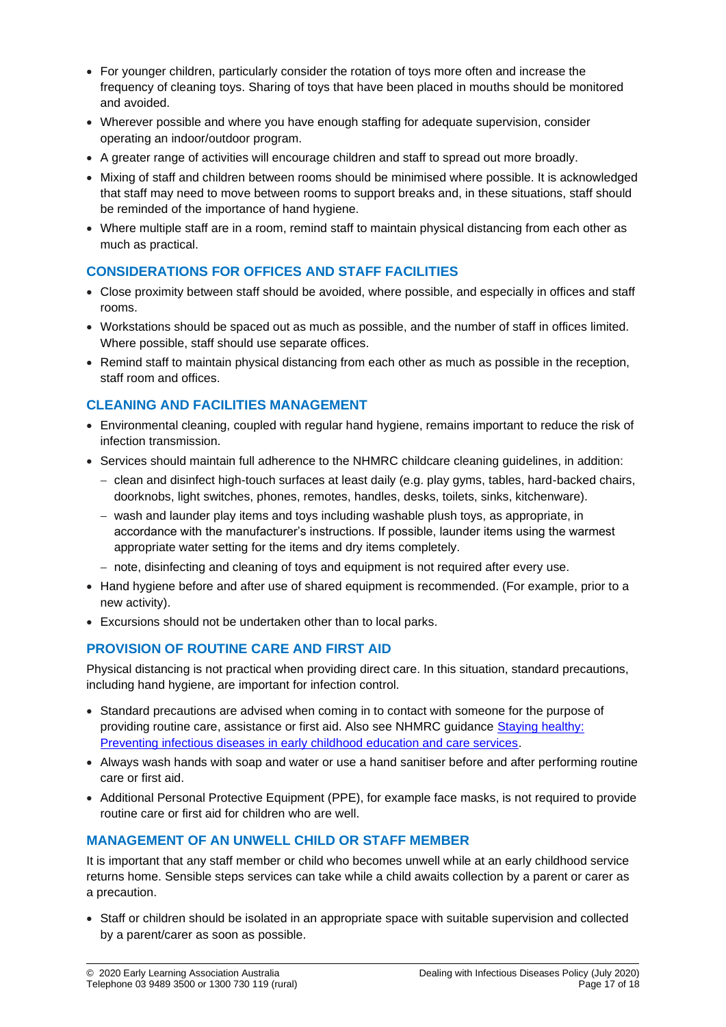- For younger children, particularly consider the rotation of toys more often and increase the frequency of cleaning toys. Sharing of toys that have been placed in mouths should be monitored and avoided.
- Wherever possible and where you have enough staffing for adequate supervision, consider operating an indoor/outdoor program.
- A greater range of activities will encourage children and staff to spread out more broadly.
- Mixing of staff and children between rooms should be minimised where possible. It is acknowledged that staff may need to move between rooms to support breaks and, in these situations, staff should be reminded of the importance of hand hygiene.
- Where multiple staff are in a room, remind staff to maintain physical distancing from each other as much as practical.

# **CONSIDERATIONS FOR OFFICES AND STAFF FACILITIES**

- Close proximity between staff should be avoided, where possible, and especially in offices and staff rooms.
- Workstations should be spaced out as much as possible, and the number of staff in offices limited. Where possible, staff should use separate offices.
- Remind staff to maintain physical distancing from each other as much as possible in the reception, staff room and offices.

# **CLEANING AND FACILITIES MANAGEMENT**

- Environmental cleaning, coupled with regular hand hygiene, remains important to reduce the risk of infection transmission.
- Services should maintain full adherence to the NHMRC childcare cleaning guidelines, in addition:
	- − clean and disinfect high-touch surfaces at least daily (e.g. play gyms, tables, hard-backed chairs, doorknobs, light switches, phones, remotes, handles, desks, toilets, sinks, kitchenware).
	- − wash and launder play items and toys including washable plush toys, as appropriate, in accordance with the manufacturer's instructions. If possible, launder items using the warmest appropriate water setting for the items and dry items completely.
	- − note, disinfecting and cleaning of toys and equipment is not required after every use.
- Hand hygiene before and after use of shared equipment is recommended. (For example, prior to a new activity).
- Excursions should not be undertaken other than to local parks.

# **PROVISION OF ROUTINE CARE AND FIRST AID**

Physical distancing is not practical when providing direct care. In this situation, standard precautions, including hand hygiene, are important for infection control.

- Standard precautions are advised when coming in to contact with someone for the purpose of providing routine care, assistance or first aid. Also see NHMRC guidance [Staying healthy:](https://www.nhmrc.gov.au/about-us/publications/staying-healthy-preventing-infectious-diseases-early-childhood-education-and-care-services)  [Preventing infectious diseases in early childhood education and care services.](https://www.nhmrc.gov.au/about-us/publications/staying-healthy-preventing-infectious-diseases-early-childhood-education-and-care-services)
- Always wash hands with soap and water or use a hand sanitiser before and after performing routine care or first aid.
- Additional Personal Protective Equipment (PPE), for example face masks, is not required to provide routine care or first aid for children who are well.

# **MANAGEMENT OF AN UNWELL CHILD OR STAFF MEMBER**

It is important that any staff member or child who becomes unwell while at an early childhood service returns home. Sensible steps services can take while a child awaits collection by a parent or carer as a precaution.

• Staff or children should be isolated in an appropriate space with suitable supervision and collected by a parent/carer as soon as possible.